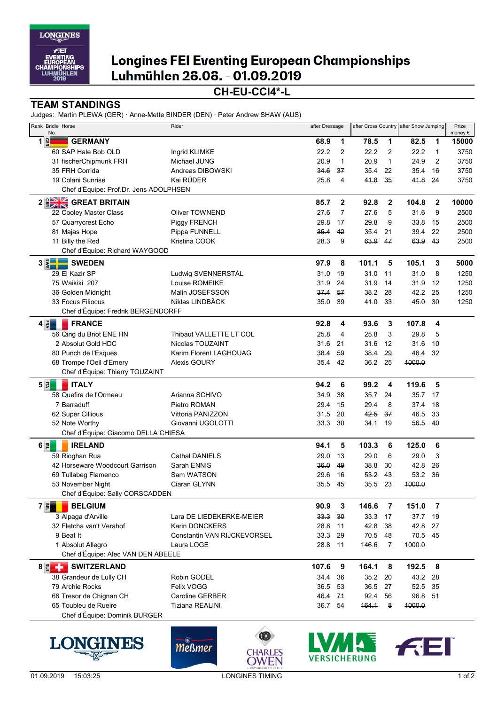

# **Longines FEI Eventing European Championships** Luhmühlen 28.08. - 01.09.2019

### **CH-EU-CCI4\*-L**

#### **TEAM STANDINGS**

Judges: Martin PLEWA (GER) · Anne-Mette BINDER (DEN) · Peter Andrew SHAW (AUS)

| Rank Bridle Horse<br>No.                        | Rider                       | after Dressage |              |         |               | after Cross Country after Show Jumping |                | Prize<br>money $\in$ |
|-------------------------------------------------|-----------------------------|----------------|--------------|---------|---------------|----------------------------------------|----------------|----------------------|
| $1 \frac{6}{5}$<br><b>GERMANY</b>               |                             | 68.9           | 1            | 78.5    | 1             | 82.5                                   | 1              | 15000                |
| 60 SAP Hale Bob OLD                             | Ingrid KLIMKE               | 22.2           | 2            | 22.2    | 2             | 22.2                                   | $\mathbf{1}$   | 3750                 |
| 31 fischerChipmunk FRH                          | Michael JUNG                | 20.9           | $\mathbf{1}$ | 20.9    | $\mathbf{1}$  | 24.9                                   | $\overline{2}$ | 3750                 |
| 35 FRH Corrida                                  | Andreas DIBOWSKI            | 34.6           | 37           | 35.4    | 22            | 35.4                                   | 16             | 3750                 |
| 19 Colani Sunrise                               | Kai RÜDER                   | 25.8           | 4            | 41.8    | 35            | 41.8                                   | 24             | 3750                 |
| Chef d'Équipe: Prof.Dr. Jens ADOLPHSEN          |                             |                |              |         |               |                                        |                |                      |
| 2 <b>BANK</b> GREAT BRITAIN                     |                             | 85.7           | $\mathbf{2}$ | 92.8    | $\mathbf{2}$  | 104.8                                  | $\mathbf{2}$   | 10000                |
| 22 Cooley Master Class                          | Oliver TOWNEND              | 27.6           | 7            | 27.6    | 5             | 31.6                                   | 9              | 2500                 |
| 57 Quarrycrest Echo                             | Piggy FRENCH                | 29.8           | 17           | 29.8    | 9             | 33.8                                   | 15             | 2500                 |
| 81 Majas Hope                                   | Pippa FUNNELL               | 35.4           | 42           | 35.4    | 21            | 39.4                                   | 22             | 2500                 |
| 11 Billy the Red                                | Kristina COOK               | 28.3           | 9            | 63.9    | 47            | 63.9 43                                |                | 2500                 |
| Chef d'Équipe: Richard WAYGOOD                  |                             |                |              |         |               |                                        |                |                      |
| $3$ $\left \frac{2}{3}\right $<br><b>SWEDEN</b> |                             | 97.9           | 8            | 101.1   | 5             | 105.1                                  | 3              | 5000                 |
| 29 El Kazir SP                                  | Ludwig SVENNERSTÅL          | 31.0           | 19           | 31.0    | 11            | 31.0                                   | 8              | 1250                 |
| 75 Waikiki 207                                  | Louise ROMEIKE              | 31.9           | 24           | 31.9    | 14            | 31.9                                   | 12             | 1250                 |
| 36 Golden Midnight                              | Malin JOSEFSSON             | 37.4           | 57           | 38.2    | 28            | 42.2                                   | 25             | 1250                 |
| 33 Focus Filiocus                               | Niklas LINDBÄCK             | 35.0           | 39           | 41.0    | 33            | 45.0                                   | 30             | 1250                 |
| Chef d'Équipe: Fredrik BERGENDORFF              |                             |                |              |         |               |                                        |                |                      |
| $4 \overline{5}$<br><b>FRANCE</b>               |                             | 92.8           | 4            | 93.6    | 3             | 107.8                                  | 4              |                      |
| 56 Qing du Briot ENE HN                         | Thibaut VALLETTE LT COL     | 25.8           | 4            | 25.8    | 3             | 29.8                                   | 5              |                      |
| 2 Absolut Gold HDC                              | Nicolas TOUZAINT            | 31.6           | 21           | 31.6    | 12            | 31.6                                   | 10             |                      |
| 80 Punch de l'Esques                            | Karim Florent LAGHOUAG      | 38.4           | 59           | 38.4    | 29            | 46.4                                   | 32             |                      |
| 68 Trompe l'Oeil d'Emery                        | Alexis GOURY                | 35.4           | 42           | 36.2 25 |               | 4000.0                                 |                |                      |
| Chef d'Équipe: Thierry TOUZAINT                 |                             |                |              |         |               |                                        |                |                      |
| 53<br><b>ITALY</b>                              |                             | 94.2           | 6            | 99.2    | 4             | 119.6                                  | 5              |                      |
| 58 Quefira de l'Ormeau                          | Arianna SCHIVO              | 34.9           | 38           | 35.7    | 24            | 35.7 17                                |                |                      |
| 7 Barraduff                                     | Pietro ROMAN                | 29.4           | 15           | 29.4    | 8             | 37.4                                   | 18             |                      |
| 62 Super Cillious                               | Vittoria PANIZZON           | 31.5           | 20           | 42.5    | 37            | 46.5                                   | 33             |                      |
| 52 Note Worthy                                  | Giovanni UGOLOTTI           | 33.3           | 30           | 34.1    | 19            | 56.5                                   | 40             |                      |
| Chef d'Équipe: Giacomo DELLA CHIESA             |                             |                |              |         |               |                                        |                |                      |
| $6 \bar{z} $<br><b>IRELAND</b>                  |                             | 94.1           | 5            | 103.3   | 6             | 125.0                                  | 6              |                      |
| 59 Rioghan Rua                                  | <b>Cathal DANIELS</b>       | 29.0           | 13           | 29.0    | 6             | 29.0                                   | 3              |                      |
| 42 Horseware Woodcourt Garrison                 | Sarah ENNIS                 | 36.0           | 49           | 38.8    | 30            | 42.8                                   | 26             |                      |
| 69 Tullabeg Flamenco                            | Sam WATSON                  | 29.6           | 16           | 53.2    | 43            | 53.2                                   | 36             |                      |
| 53 November Night                               | Ciaran GLYNN                | 35.5           | 45           | 35.5    | 23            | 1000.0                                 |                |                      |
| Chef d'Équipe: Sally CORSCADDEN                 |                             |                |              |         |               |                                        |                |                      |
| 7 품<br><b>BELGIUM</b>                           |                             | 90.9           | 3            | 146.6   | 7             | 151.0                                  | 7              |                      |
| 3 Alpaga d'Arville                              | Lara DE LIEDEKERKE-MEIER    | 33.3           | 30           | 33.3    | 17            | 37.7                                   | 19             |                      |
| 32 Fletcha van't Verahof                        | <b>Karin DONCKERS</b>       | 28.8           | 11           | 42.8    | 38            | 42.8                                   | 27             |                      |
| 9 Beat It                                       | Constantin VAN RIJCKEVORSEL | 33.3           | 29           | 70.5    | 48            | 70.5 45                                |                |                      |
| 1 Absolut Allegro                               | Laura LOGE                  | 28.8           | 11           | 146.6   | $\mathcal{F}$ | 1000.0                                 |                |                      |
| Chef d'Équipe: Alec VAN DEN ABEELE              |                             |                |              |         |               |                                        |                |                      |
| <b>SWITZERLAND</b><br>$8 \leq -1$               |                             | 107.6          | 9            | 164.1   | 8             | 192.5                                  | 8              |                      |
| 38 Grandeur de Lully CH                         | Robin GODEL                 | 34.4           | 36           | 35.2    | 20            | 43.2                                   | 28             |                      |
| 79 Archie Rocks                                 | Felix VOGG                  | 36.5           | 53           | 36.5    | 27            | 52.5 35                                |                |                      |
| 66 Tresor de Chignan CH                         | <b>Caroline GERBER</b>      | 46.4           | 71           | 92.4    | 56            | 96.8 51                                |                |                      |
| 65 Toubleu de Rueire                            | Tiziana REALINI             | 36.7 54        |              | 164.1   | 8             | 1000.0                                 |                |                      |
| Chef d'Équipe: Dominik BURGER                   |                             |                |              |         |               |                                        |                |                      |
|                                                 |                             |                |              |         |               |                                        |                |                      |









 $(\times)$